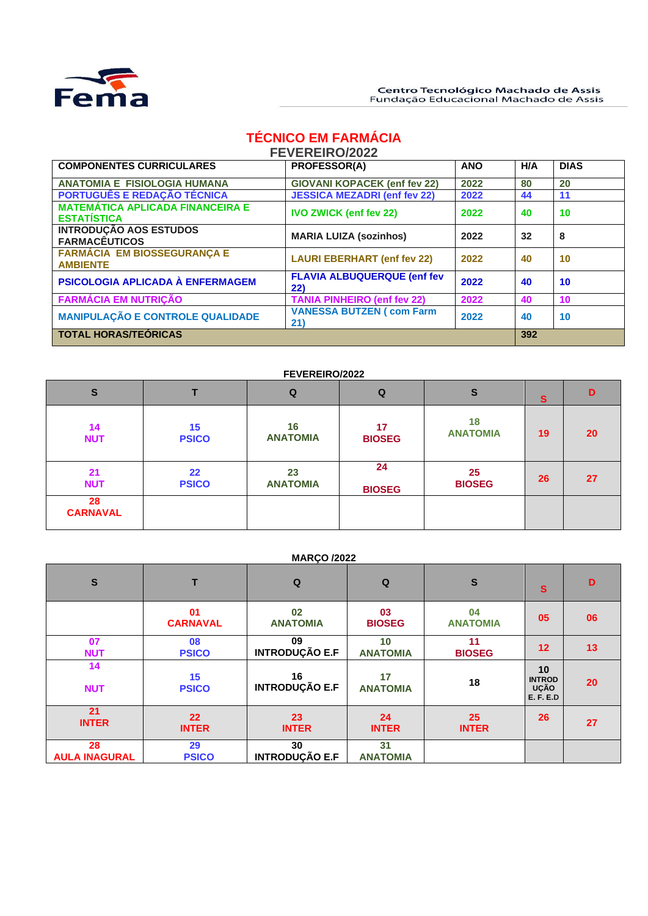

# **TÉCNICO EM FARMÁCIA**

| <b>FEVEREIRO/2022</b> |  |
|-----------------------|--|
|-----------------------|--|

| <b>COMPONENTES CURRICULARES</b>                               | <b>PROFESSOR(A)</b>                       | <b>ANO</b> | H/A | <b>DIAS</b> |
|---------------------------------------------------------------|-------------------------------------------|------------|-----|-------------|
| <b>ANATOMIA E FISIOLOGIA HUMANA</b>                           | <b>GIOVANI KOPACEK (enf fev 22)</b>       | 2022       | 80  | 20          |
| PORTUGUÊS E REDAÇÃO TÉCNICA                                   | <b>JESSICA MEZADRI (enf fev 22)</b>       | 2022       | 44  | 11          |
| <b>MATEMÁTICA APLICADA FINANCEIRA E</b><br><b>ESTATÍSTICA</b> | <b>IVO ZWICK (enf fev 22)</b>             | 2022       | 40  | 10          |
| <b>INTRODUÇÃO AOS ESTUDOS</b><br><b>FARMACÊUTICOS</b>         | <b>MARIA LUIZA (sozinhos)</b>             | 2022       | 32  | 8           |
| <b>FARMÁCIA EM BIOSSEGURANÇA E</b><br><b>AMBIENTE</b>         | <b>LAURI EBERHART (enf fev 22)</b>        | 2022       | 40  | 10          |
| PSICOLOGIA APLICADA À ENFERMAGEM                              | <b>FLAVIA ALBUQUERQUE (enf fev</b><br>22) | 2022       | 40  | 10          |
| <b>FARMÁCIA EM NUTRIÇÃO</b>                                   | <b>TANIA PINHEIRO (enf fev 22)</b>        | 2022       | 40  | 10          |
| <b>MANIPULAÇÃO E CONTROLE QUALIDADE</b>                       | <b>VANESSA BUTZEN ( com Farm</b><br>21)   | 2022       | 40  | 10          |
| <b>TOTAL HORAS/TEÓRICAS</b>                                   | 392                                       |            |     |             |

## **FEVEREIRO/2022**

| $\mathbf{s}$          |                    | Q                     | Q                   | S                     | s  | D         |
|-----------------------|--------------------|-----------------------|---------------------|-----------------------|----|-----------|
| 14<br><b>NUT</b>      | 15<br><b>PSICO</b> | 16<br><b>ANATOMIA</b> | 17<br><b>BIOSEG</b> | 18<br><b>ANATOMIA</b> | 19 | <b>20</b> |
| 21<br><b>NUT</b>      | 22<br><b>PSICO</b> | 23<br><b>ANATOMIA</b> | 24<br><b>BIOSEG</b> | 25<br><b>BIOSEG</b>   | 26 | 27        |
| 28<br><b>CARNAVAL</b> |                    |                       |                     |                       |    |           |

#### **MARÇO /2022**

| $\mathbf{s}$               |                                   | Q                           | $\mathbf Q$           | $\mathbf{s}$          | S                                                      | D  |
|----------------------------|-----------------------------------|-----------------------------|-----------------------|-----------------------|--------------------------------------------------------|----|
|                            | 01<br><b>CARNAVAL</b>             | 02<br><b>ANATOMIA</b>       | 03<br><b>BIOSEG</b>   | 04<br><b>ANATOMIA</b> | 05                                                     | 06 |
| 07<br><b>NUT</b>           | 08<br><b>PSICO</b>                | 09<br><b>INTRODUÇÃO E.F</b> | 10<br><b>ANATOMIA</b> | 11<br><b>BIOSEG</b>   | 12                                                     | 13 |
| 14<br><b>NUT</b>           | 15<br><b>PSICO</b>                | 16<br><b>INTRODUÇÃO E.F</b> | 17<br><b>ANATOMIA</b> | 18                    | 10<br><b>INTROD</b><br><b>UCÃO</b><br><b>E. F. E.D</b> | 20 |
| 21<br><b>INTER</b>         | $22 \overline{ }$<br><b>INTER</b> | 23<br><b>INTER</b>          | 24<br><b>INTER</b>    | 25<br><b>INTER</b>    | 26                                                     | 27 |
| 28<br><b>AULA INAGURAL</b> | 29<br><b>PSICO</b>                | 30<br><b>INTRODUÇÃO E.F</b> | 31<br><b>ANATOMIA</b> |                       |                                                        |    |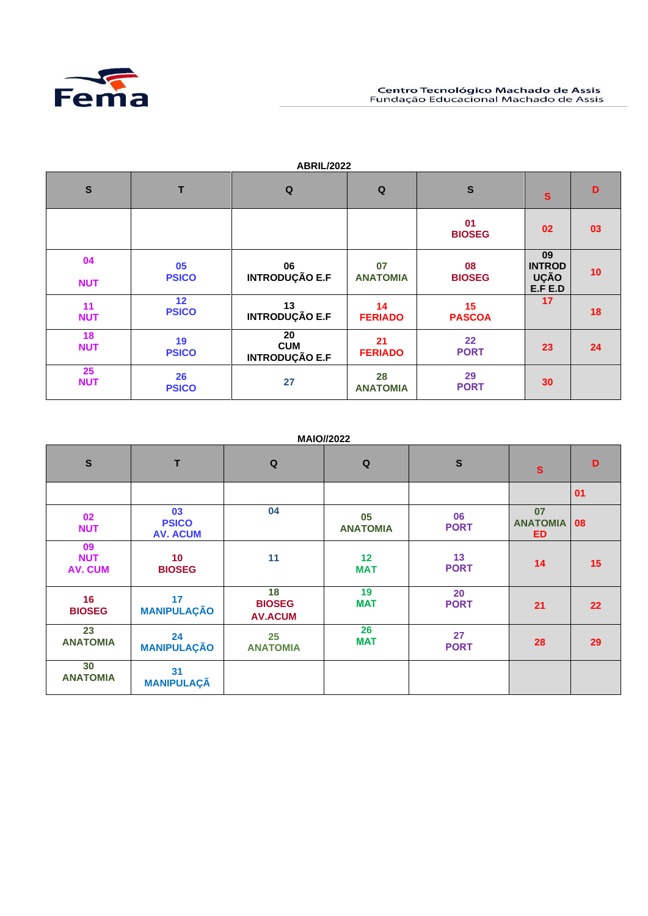

|                                |                                 | <b>ABRIL/2022</b>                         |                       |                        |                                        |    |
|--------------------------------|---------------------------------|-------------------------------------------|-----------------------|------------------------|----------------------------------------|----|
| $\mathbf{s}$                   | T                               | Q                                         | Q                     | $\mathbf{s}$           | $\mathbf{s}$                           | D  |
|                                |                                 |                                           |                       | 01<br><b>BIOSEG</b>    | 02                                     | 03 |
| 04<br><b>NUT</b>               | 05<br><b>PSICO</b>              | 06<br><b>INTRODUÇÃO E.F</b>               | 07<br><b>ANATOMIA</b> | 08<br><b>BIOSEG</b>    | 09<br><b>INTROD</b><br>UÇÃO<br>E.F E.D | 10 |
| 11<br><b>NUT</b>               | 12 <sub>2</sub><br><b>PSICO</b> | 13<br><b>INTRODUÇÃO E.F</b>               | 14<br><b>FERIADO</b>  | 15<br><b>PASCOA</b>    | 17                                     | 18 |
| 18<br><b>NUT</b>               | 19<br><b>PSICO</b>              | 20<br><b>CUM</b><br><b>INTRODUÇÃO E.F</b> | 21<br><b>FERIADO</b>  | $22 \,$<br><b>PORT</b> | 23                                     | 24 |
| $25\phantom{.0}$<br><b>NUT</b> | 26<br><b>PSICO</b>              | 27                                        | 28<br><b>ANATOMIA</b> | 29<br><b>PORT</b>      | 30                                     |    |

# **ABRIL/2022**

# **MAIO//2022**

| $\mathbf{s}$                       | T                                     | $\mathbf Q$                           | $\mathbf Q$           | $\mathbf{s}$      | $\mathbf{s}$                       | D  |
|------------------------------------|---------------------------------------|---------------------------------------|-----------------------|-------------------|------------------------------------|----|
|                                    |                                       |                                       |                       |                   |                                    | 01 |
| 02<br><b>NUT</b>                   | 03<br><b>PSICO</b><br><b>AV. ACUM</b> | 04                                    | 05<br><b>ANATOMIA</b> | 06<br><b>PORT</b> | 07<br><b>ANATOMIA</b><br><b>ED</b> | 08 |
| 09<br><b>NUT</b><br><b>AV. CUM</b> | 10 <sup>°</sup><br><b>BIOSEG</b>      | 11                                    | 12<br><b>MAT</b>      | 13<br><b>PORT</b> | 14                                 | 15 |
| 16<br><b>BIOSEG</b>                | 17<br><b>MANIPULAÇÃO</b>              | 18<br><b>BIOSEG</b><br><b>AV.ACUM</b> | 19<br><b>MAT</b>      | 20<br><b>PORT</b> | 21                                 | 22 |
| 23<br><b>ANATOMIA</b>              | 24<br><b>MANIPULAÇÃO</b>              | 25<br><b>ANATOMIA</b>                 | 26<br><b>MAT</b>      | 27<br><b>PORT</b> | 28                                 | 29 |
| 30<br><b>ANATOMIA</b>              | 31<br><b>MANIPULAÇÃ</b>               |                                       |                       |                   |                                    |    |